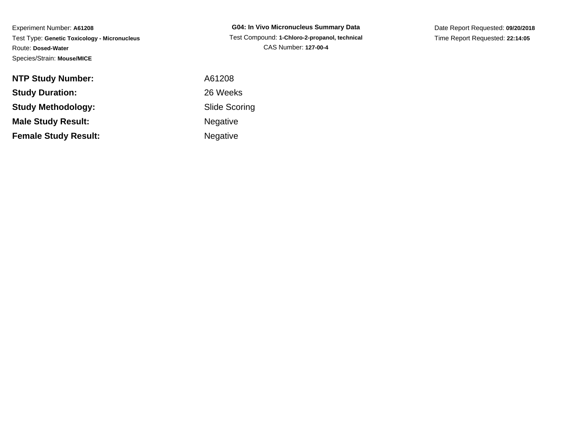Experiment Number: **A61208** Test Type: **Genetic Toxicology - Micronucleus**Route: **Dosed-Water**Species/Strain: **Mouse/MICE**

**G04: In Vivo Micronucleus Summary Data** Test Compound: **1-Chloro-2-propanol, technical**CAS Number: **127-00-4**

Date Report Requested: **09/20/2018**Time Report Requested: **22:14:05**

| <b>NTP Study Number:</b>    | A61208          |
|-----------------------------|-----------------|
| <b>Study Duration:</b>      | 26 Weeks        |
| Study Methodology:          | Slide Scor      |
| <b>Male Study Result:</b>   | <b>Negative</b> |
| <b>Female Study Result:</b> | <b>Negative</b> |

de Scoring gative

gative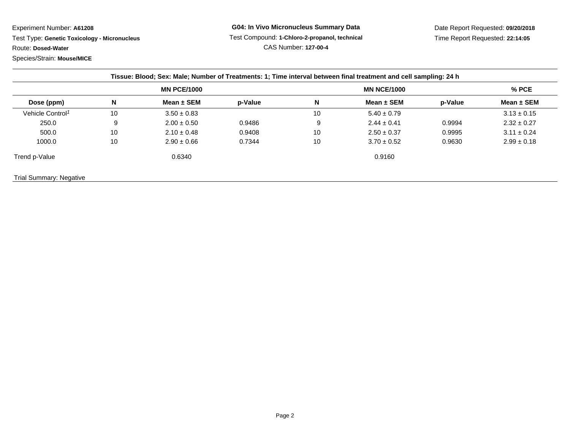Experiment Number: **A61208**

 Test Type: **Genetic Toxicology - Micronucleus**Route: **Dosed-Water**

Species/Strain: **Mouse/MICE**

Date Report Requested: **09/20/2018**Time Report Requested: **22:14:05**

|                              |                    |                 | Tissue: Blood; Sex: Male; Number of Treatments: 1; Time interval between final treatment and cell sampling: 24 h |                    |                 |         |                 |  |  |
|------------------------------|--------------------|-----------------|------------------------------------------------------------------------------------------------------------------|--------------------|-----------------|---------|-----------------|--|--|
| Dose (ppm)                   | <b>MN PCE/1000</b> |                 |                                                                                                                  | <b>MN NCE/1000</b> |                 |         | $%$ PCE         |  |  |
|                              | N                  | Mean $\pm$ SEM  | p-Value                                                                                                          | N                  | Mean $\pm$ SEM  | p-Value | Mean $\pm$ SEM  |  |  |
| Vehicle Control <sup>1</sup> | 10                 | $3.50 \pm 0.83$ |                                                                                                                  | 10                 | $5.40 \pm 0.79$ |         | $3.13 \pm 0.15$ |  |  |
| 250.0                        | 9                  | $2.00 \pm 0.50$ | 0.9486                                                                                                           | 9                  | $2.44 \pm 0.41$ | 0.9994  | $2.32 \pm 0.27$ |  |  |
| 500.0                        | 10                 | $2.10 \pm 0.48$ | 0.9408                                                                                                           | 10                 | $2.50 \pm 0.37$ | 0.9995  | $3.11 \pm 0.24$ |  |  |
| 1000.0                       | 10                 | $2.90 \pm 0.66$ | 0.7344                                                                                                           | 10                 | $3.70 \pm 0.52$ | 0.9630  | $2.99 \pm 0.18$ |  |  |
|                              |                    | 0.6340          |                                                                                                                  |                    | 0.9160          |         |                 |  |  |
| Trend p-Value                |                    |                 |                                                                                                                  |                    |                 |         |                 |  |  |

Trial Summary: Negative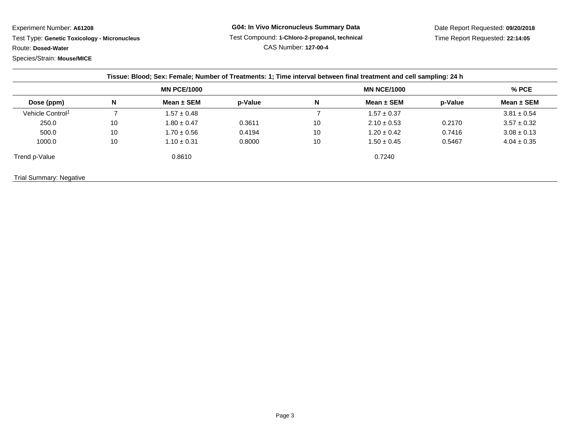Experiment Number: **A61208**

 Test Type: **Genetic Toxicology - Micronucleus**Route: **Dosed-Water**

Species/Strain: **Mouse/MICE**

Date Report Requested: **09/20/2018**Time Report Requested: **22:14:05**

| Dose (ppm)                   | <b>MN PCE/1000</b> |                 |         | <b>MN NCE/1000</b> |                 |         | $%$ PCE         |
|------------------------------|--------------------|-----------------|---------|--------------------|-----------------|---------|-----------------|
|                              | N                  | Mean $\pm$ SEM  | p-Value | N                  | Mean $\pm$ SEM  | p-Value | Mean $\pm$ SEM  |
| Vehicle Control <sup>1</sup> |                    | $1.57 \pm 0.48$ |         |                    | $1.57 \pm 0.37$ |         | $3.81 \pm 0.54$ |
| 250.0                        | 10                 | $1.80 \pm 0.47$ | 0.3611  | 10                 | $2.10 \pm 0.53$ | 0.2170  | $3.57 \pm 0.32$ |
| 500.0                        | 10                 | $1.70 \pm 0.56$ | 0.4194  | 10                 | $1.20 \pm 0.42$ | 0.7416  | $3.08 \pm 0.13$ |
| 1000.0                       | 10                 | $1.10 \pm 0.31$ | 0.8000  | 10                 | $1.50 \pm 0.45$ | 0.5467  | $4.04 \pm 0.35$ |
| Trend p-Value                |                    | 0.8610          |         |                    | 0.7240          |         |                 |